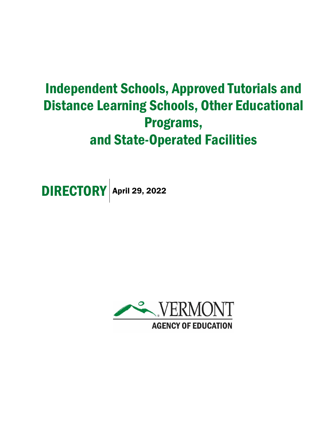# Independent Schools, Approved Tutorials and Distance Learning Schools, Other Educational Programs, and State-Operated Facilities

**DIRECTORY** April 29, 2022

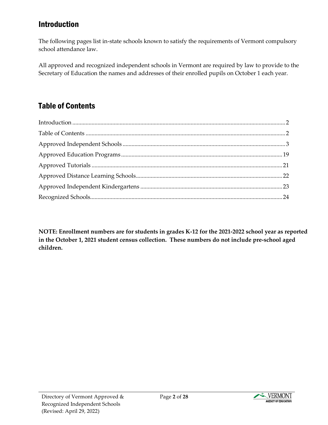## <span id="page-1-0"></span>Introduction

The following pages list in-state schools known to satisfy the requirements of Vermont compulsory school attendance law.

All approved and recognized independent schools in Vermont are required by law to provide to the Secretary of Education the names and addresses of their enrolled pupils on October 1 each year.

# <span id="page-1-1"></span>Table of Contents

**NOTE: Enrollment numbers are for students in grades K-12 for the 2021-2022 school year as reported in the October 1, 2021 student census collection. These numbers do not include pre-school aged children.**

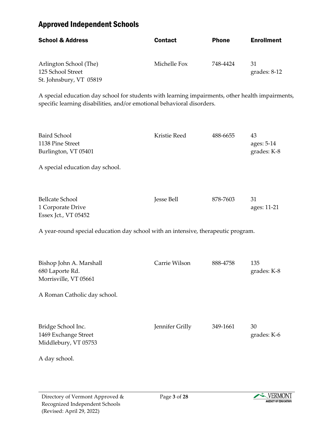## <span id="page-2-0"></span>Approved Independent Schools

| <b>School &amp; Address</b>                                            | <b>Contact</b> | <b>Phone</b> | <b>Enrollment</b>    |
|------------------------------------------------------------------------|----------------|--------------|----------------------|
| Arlington School (The)<br>125 School Street<br>St. Johnsbury, VT 05819 | Michelle Fox   | 748-4424     | 31<br>grades: $8-12$ |

A special education day school for students with learning impairments, other health impairments, specific learning disabilities, and/or emotional behavioral disorders.

| <b>Baird School</b><br>1138 Pine Street<br>Burlington, VT 05401                                     | Kristie Reed      | 488-6655 | 43<br>ages: 5-14<br>grades: K-8 |
|-----------------------------------------------------------------------------------------------------|-------------------|----------|---------------------------------|
| A special education day school.                                                                     |                   |          |                                 |
| <b>Bellcate School</b><br>1 Corporate Drive<br>Essex Jct., VT 05452                                 | <b>Jesse Bell</b> | 878-7603 | 31<br>ages: 11-21               |
| A year-round special education day school with an intensive, therapeutic program.                   |                   |          |                                 |
| Bishop John A. Marshall<br>680 Laporte Rd.<br>Morrisville, VT 05661<br>A Roman Catholic day school. | Carrie Wilson     | 888-4758 | 135<br>grades: K-8              |
| Bridge School Inc.<br>1469 Exchange Street<br>Middlebury, VT 05753<br>A day school.                 | Jennifer Grilly   | 349-1661 | 30<br>grades: K-6               |
|                                                                                                     |                   |          |                                 |

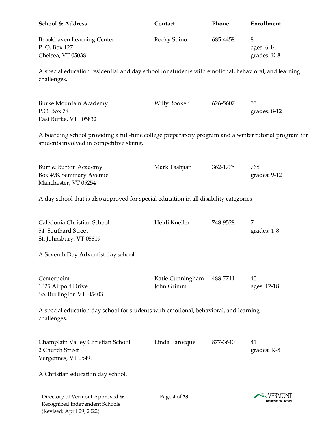| <b>School &amp; Address</b>                                                                                                                       | Contact                        | Phone    | Enrollment                     |
|---------------------------------------------------------------------------------------------------------------------------------------------------|--------------------------------|----------|--------------------------------|
| Brookhaven Learning Center<br>P.O. Box 127<br>Chelsea, VT 05038                                                                                   | Rocky Spino                    | 685-4458 | 8<br>ages: 6-14<br>grades: K-8 |
| A special education residential and day school for students with emotional, behavioral, and learning<br>challenges.                               |                                |          |                                |
| <b>Burke Mountain Academy</b><br>P.O. Box 78<br>East Burke, VT 05832                                                                              | <b>Willy Booker</b>            | 626-5607 | 55<br>$grades: 8-12$           |
| A boarding school providing a full-time college preparatory program and a winter tutorial program for<br>students involved in competitive skiing. |                                |          |                                |
| Burr & Burton Academy<br>Box 498, Seminary Avenue<br>Manchester, VT 05254                                                                         | Mark Tashjian                  | 362-1775 | 768<br>grades: 9-12            |
| A day school that is also approved for special education in all disability categories.                                                            |                                |          |                                |
| Caledonia Christian School<br>54 Southard Street<br>St. Johnsbury, VT 05819                                                                       | Heidi Kneller                  | 748-9528 | 7<br>grades: 1-8               |
| A Seventh Day Adventist day school.                                                                                                               |                                |          |                                |
| Centerpoint<br>1025 Airport Drive<br>So. Burlington VT 05403                                                                                      | Katie Cunningham<br>John Grimm | 488-7711 | 40<br>ages: 12-18              |
| A special education day school for students with emotional, behavioral, and learning<br>challenges.                                               |                                |          |                                |
| Champlain Valley Christian School<br>2 Church Street<br>Vergennes, VT 05491                                                                       | Linda Larocque                 | 877-3640 | 41<br>grades: K-8              |
| A Christian education day school.                                                                                                                 |                                |          |                                |

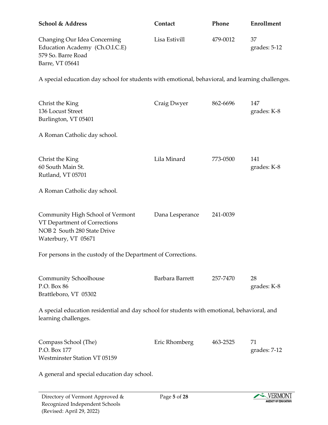| <b>School &amp; Address</b>                                                                                            | Contact         | Phone    | <b>Enrollment</b>  |
|------------------------------------------------------------------------------------------------------------------------|-----------------|----------|--------------------|
| Changing Our Idea Concerning<br>Education Academy (Ch.O.I.C.E)<br>579 So. Barre Road<br>Barre, VT 05641                | Lisa Estivill   | 479-0012 | 37<br>grades: 5-12 |
| A special education day school for students with emotional, behavioral, and learning challenges.                       |                 |          |                    |
| Christ the King<br>136 Locust Street<br>Burlington, VT 05401                                                           | Craig Dwyer     | 862-6696 | 147<br>grades: K-8 |
| A Roman Catholic day school.                                                                                           |                 |          |                    |
| Christ the King<br>60 South Main St.<br>Rutland, VT 05701                                                              | Lila Minard     | 773-0500 | 141<br>grades: K-8 |
| A Roman Catholic day school.                                                                                           |                 |          |                    |
| Community High School of Vermont<br>VT Department of Corrections<br>NOB 2 South 280 State Drive<br>Waterbury, VT 05671 | Dana Lesperance | 241-0039 |                    |
| For persons in the custody of the Department of Corrections.                                                           |                 |          |                    |
| Community Schoolhouse<br>P.O. Box 86<br>Brattleboro, VT 05302                                                          | Barbara Barrett | 257-7470 | 28<br>grades: K-8  |
| A special education residential and day school for students with emotional, behavioral, and<br>learning challenges.    |                 |          |                    |
| Compass School (The)<br>P.O. Box 177<br><b>Westminster Station VT 05159</b>                                            | Eric Rhomberg   | 463-2525 | 71<br>grades: 7-12 |
| A general and special education day school.                                                                            |                 |          |                    |

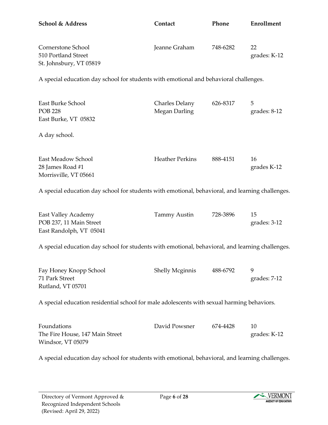| <b>School &amp; Address</b>                                                                      | Contact                                | Phone    | <b>Enrollment</b>   |
|--------------------------------------------------------------------------------------------------|----------------------------------------|----------|---------------------|
| Cornerstone School<br>510 Portland Street<br>St. Johnsbury, VT 05819                             | Jeanne Graham                          | 748-6282 | 22<br>grades: K-12  |
| A special education day school for students with emotional and behavioral challenges.            |                                        |          |                     |
| East Burke School<br><b>POB 228</b><br>East Burke, VT 05832                                      | Charles Delany<br><b>Megan Darling</b> | 626-8317 | 5<br>grades: $8-12$ |
| A day school.                                                                                    |                                        |          |                     |
| East Meadow School<br>28 James Road #1<br>Morrisville, VT 05661                                  | <b>Heather Perkins</b>                 | 888-4151 | 16<br>grades K-12   |
| A special education day school for students with emotional, behavioral, and learning challenges. |                                        |          |                     |
| <b>East Valley Academy</b><br>POB 237, 11 Main Street<br>East Randolph, VT 05041                 | Tammy Austin                           | 728-3896 | 15<br>grades: 3-12  |
| A special education day school for students with emotional, behavioral, and learning challenges. |                                        |          |                     |
| Fay Honey Knopp School<br>71 Park Street<br>Rutland, VT 05701                                    | <b>Shelly Mcginnis</b>                 | 488-6792 | 9<br>grades: 7-12   |
| A special education residential school for male adolescents with sexual harming behaviors.       |                                        |          |                     |
| Foundations<br>The Fire House, 147 Main Street<br>Windsor, VT 05079                              | David Powsner                          | 674-4428 | 10<br>grades: K-12  |

A special education day school for students with emotional, behavioral, and learning challenges.

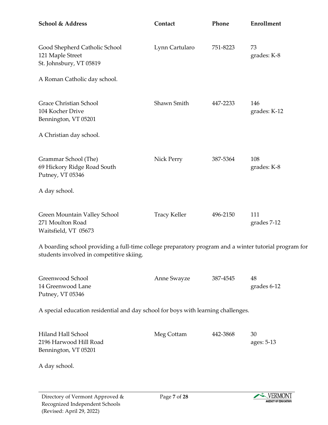| School & Address                                                                                                                                  | Contact             | Phone    | Enrollment          |
|---------------------------------------------------------------------------------------------------------------------------------------------------|---------------------|----------|---------------------|
| Good Shepherd Catholic School<br>121 Maple Street<br>St. Johnsbury, VT 05819                                                                      | Lynn Cartularo      | 751-8223 | 73<br>grades: K-8   |
| A Roman Catholic day school.                                                                                                                      |                     |          |                     |
| Grace Christian School<br>104 Kocher Drive<br>Bennington, VT 05201                                                                                | Shawn Smith         | 447-2233 | 146<br>grades: K-12 |
| A Christian day school.                                                                                                                           |                     |          |                     |
| Grammar School (The)<br>69 Hickory Ridge Road South<br>Putney, VT 05346                                                                           | Nick Perry          | 387-5364 | 108<br>grades: K-8  |
| A day school.                                                                                                                                     |                     |          |                     |
| Green Mountain Valley School<br>271 Moulton Road<br>Waitsfield, VT 05673                                                                          | <b>Tracy Keller</b> | 496-2150 | 111<br>grades 7-12  |
| A boarding school providing a full-time college preparatory program and a winter tutorial program for<br>students involved in competitive skiing. |                     |          |                     |
| Greenwood School<br>14 Greenwood Lane<br>Putney, VT 05346                                                                                         | Anne Swayze         | 387-4545 | 48<br>grades 6-12   |
| A special education residential and day school for boys with learning challenges.                                                                 |                     |          |                     |
| Hiland Hall School<br>2196 Harwood Hill Road<br>Bennington, VT 05201                                                                              | Meg Cottam          | 442-3868 | 30<br>ages: 5-13    |
| A day school.                                                                                                                                     |                     |          |                     |

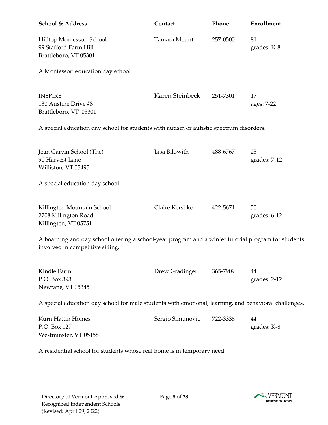| <b>School &amp; Address</b>                                                                                                            | Contact          | Phone    | Enrollment         |
|----------------------------------------------------------------------------------------------------------------------------------------|------------------|----------|--------------------|
| Hilltop Montessori School<br>99 Stafford Farm Hill<br>Brattleboro, VT 05301                                                            | Tamara Mount     | 257-0500 | 81<br>grades: K-8  |
| A Montessori education day school.                                                                                                     |                  |          |                    |
| <b>INSPIRE</b><br>130 Austine Drive #8<br>Brattleboro, VT 05301                                                                        | Karen Steinbeck  | 251-7301 | 17<br>ages: 7-22   |
| A special education day school for students with autism or autistic spectrum disorders.                                                |                  |          |                    |
| Jean Garvin School (The)<br>90 Harvest Lane<br>Williston, VT 05495                                                                     | Lisa Bilowith    | 488-6767 | 23<br>grades: 7-12 |
| A special education day school.                                                                                                        |                  |          |                    |
| Killington Mountain School<br>2708 Killington Road<br>Killington, VT 05751                                                             | Claire Kershko   | 422-5671 | 50<br>grades: 6-12 |
| A boarding and day school offering a school-year program and a winter tutorial program for students<br>involved in competitive skiing. |                  |          |                    |
| Kindle Farm<br>P.O. Box 393<br>Newfane, VT 05345                                                                                       | Drew Gradinger   | 365-7909 | 44<br>grades: 2-12 |
| A special education day school for male students with emotional, learning, and behavioral challenges.                                  |                  |          |                    |
| Kurn Hattin Homes<br>P.O. Box 127<br>Westminster, VT 05158                                                                             | Sergio Simunovic | 722-3336 | 44<br>grades: K-8  |

A residential school for students whose real home is in temporary need.

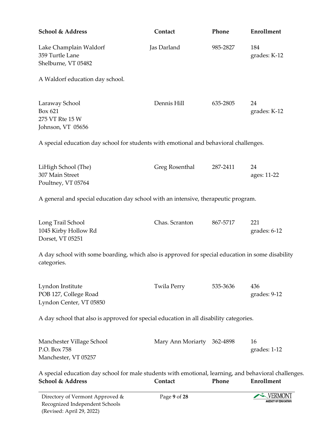| School & Address                                                                                                          | Contact                    | Phone    | Enrollment          |
|---------------------------------------------------------------------------------------------------------------------------|----------------------------|----------|---------------------|
| Lake Champlain Waldorf<br>359 Turtle Lane<br>Shelburne, VT 05482                                                          | Jas Darland                | 985-2827 | 184<br>grades: K-12 |
| A Waldorf education day school.                                                                                           |                            |          |                     |
| Laraway School<br>Box 621<br>275 VT Rte 15 W<br>Johnson, VT 05656                                                         | Dennis Hill                | 635-2805 | 24<br>grades: K-12  |
| A special education day school for students with emotional and behavioral challenges.                                     |                            |          |                     |
| LiHigh School (The)<br>307 Main Street<br>Poultney, VT 05764                                                              | Greg Rosenthal             | 287-2411 | 24<br>ages: 11-22   |
| A general and special education day school with an intensive, therapeutic program.                                        |                            |          |                     |
| Long Trail School<br>1045 Kirby Hollow Rd<br>Dorset, VT 05251                                                             | Chas. Scranton             | 867-5717 | 221<br>grades: 6-12 |
| A day school with some boarding, which also is approved for special education in some disability<br>categories.           |                            |          |                     |
| Lyndon Institute<br>POB 127, College Road<br>Lyndon Center, VT 05850                                                      | Twila Perry                | 535-3636 | 436<br>grades: 9-12 |
| A day school that also is approved for special education in all disability categories.                                    |                            |          |                     |
| Manchester Village School<br>P.O. Box 758<br>Manchester, VT 05257                                                         | Mary Ann Moriarty 362-4898 |          | 16<br>grades: 1-12  |
| A special education day school for male students with emotional, learning, and behavioral challenges.<br>School & Address | Contact                    | Phone    | <b>Enrollment</b>   |

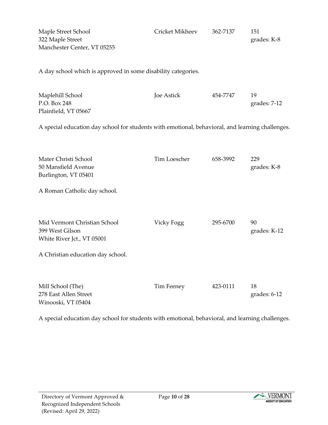| Maple Street School<br>322 Maple Street<br>Manchester Center, VT 05255                                             | Cricket Mikheev | 362-7137 | 151<br>grades: K-8 |
|--------------------------------------------------------------------------------------------------------------------|-----------------|----------|--------------------|
| A day school which is approved in some disability categories.                                                      |                 |          |                    |
| Maplehill School<br>P.O. Box 248<br>Plainfield, VT 05667                                                           | Joe Astick      | 454-7747 | 19<br>grades: 7-12 |
| A special education day school for students with emotional, behavioral, and learning challenges.                   |                 |          |                    |
| Mater Christi School<br>50 Mansfield Avenue<br>Burlington, VT 05401<br>A Roman Catholic day school.                | Tim Loescher    | 658-3992 | 229<br>grades: K-8 |
| Mid Vermont Christian School<br>399 West Gilson<br>White River Jct., VT 05001<br>A Christian education day school. | Vicky Fogg      | 295-6700 | 90<br>grades: K-12 |
| Mill School (The)<br>278 East Allen Street<br>Winooski, VT 05404                                                   | Tim Feeney      | 423-0111 | 18<br>grades: 6-12 |

A special education day school for students with emotional, behavioral, and learning challenges.

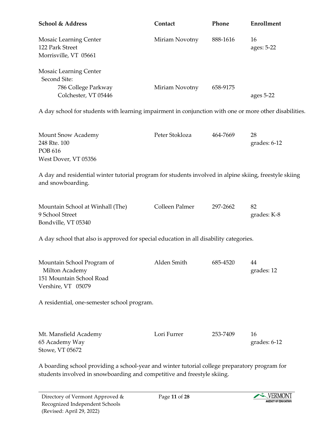| <b>School &amp; Address</b>                                                                                                 | Contact        | Phone    | Enrollment         |
|-----------------------------------------------------------------------------------------------------------------------------|----------------|----------|--------------------|
| <b>Mosaic Learning Center</b><br>122 Park Street<br>Morrisville, VT 05661                                                   | Miriam Novotny | 888-1616 | 16<br>ages: 5-22   |
| <b>Mosaic Learning Center</b><br>Second Site:<br>786 College Parkway<br>Colchester, VT 05446                                | Miriam Novotny | 658-9175 | ages 5-22          |
| A day school for students with learning impairment in conjunction with one or more other disabilities.                      |                |          |                    |
| <b>Mount Snow Academy</b><br>248 Rte. 100<br><b>POB 616</b><br>West Dover, VT 05356                                         | Peter Stokloza | 464-7669 | 28<br>grades: 6-12 |
| A day and residential winter tutorial program for students involved in alpine skiing, freestyle skiing<br>and snowboarding. |                |          |                    |
| Mountain School at Winhall (The)<br>9 School Street<br>Bondville, VT 05340                                                  | Colleen Palmer | 297-2662 | 82<br>grades: K-8  |
| A day school that also is approved for special education in all disability categories.                                      |                |          |                    |
| Mountain School Program of<br>Milton Academy<br>151 Mountain School Road<br>Vershire, VT 05079                              | Alden Smith    | 685-4520 | 44<br>grades: 12   |
| A residential, one-semester school program.                                                                                 |                |          |                    |
| Mt. Mansfield Academy<br>65 Academy Way<br>Stowe, VT 05672                                                                  | Lori Furrer    | 253-7409 | 16<br>grades: 6-12 |

A boarding school providing a school-year and winter tutorial college preparatory program for students involved in snowboarding and competitive and freestyle skiing.

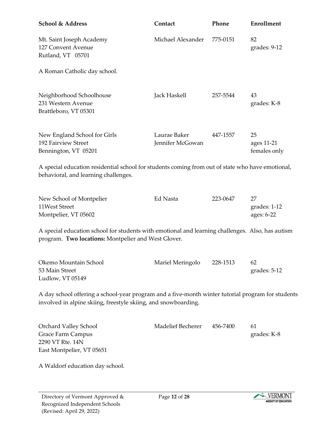| <b>School &amp; Address</b>                                                                                                                                         | Contact                          | Phone    | Enrollment                       |
|---------------------------------------------------------------------------------------------------------------------------------------------------------------------|----------------------------------|----------|----------------------------------|
| Mt. Saint Joseph Academy<br>127 Convent Avenue<br>Rutland, VT 05701                                                                                                 | Michael Alexander                | 775-0151 | 82<br>grades: 9-12               |
| A Roman Catholic day school.                                                                                                                                        |                                  |          |                                  |
| Neighborhood Schoolhouse<br>231 Western Avenue<br>Brattleboro, VT 05301                                                                                             | Jack Haskell                     | 257-5544 | 43<br>grades: K-8                |
| New England School for Girls<br>192 Fairview Street<br>Bennington, VT 05201                                                                                         | Laurae Baker<br>Jennifer McGowan | 447-1557 | 25<br>ages 11-21<br>females only |
| A special education residential school for students coming from out of state who have emotional,<br>behavioral, and learning challenges.                            |                                  |          |                                  |
| New School of Montpelier<br>11West Street<br>Montpelier, VT 05602                                                                                                   | Ed Nasta                         | 223-0647 | 27<br>grades: 1-12<br>ages: 6-22 |
| A special education school for students with emotional and learning challenges. Also, has autism<br>program. Two locations: Montpelier and West Glover.             |                                  |          |                                  |
| Okemo Mountain School<br>53 Main Street<br>Ludlow, VT 05149                                                                                                         | Mariel Meringolo                 | 228-1513 | 62<br>grades: 5-12               |
| A day school offering a school-year program and a five-month winter tutorial program for students<br>involved in alpine skiing, freestyle skiing, and snowboarding. |                                  |          |                                  |
| Orchard Valley School<br>Grace Farm Campus<br>2290 VT Rte. 14N<br>East Montpelier, VT 05651                                                                         | <b>Madelief Becherer</b>         | 456-7400 | 61<br>grades: K-8                |

A Waldorf education day school.

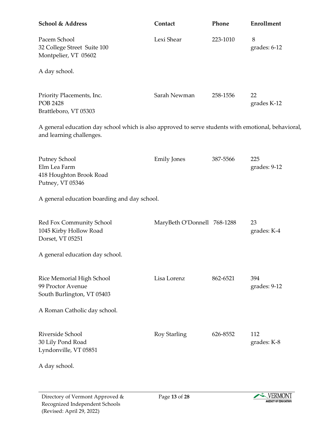| School & Address                                                                                                                | Contact                     | Phone    | Enrollment          |
|---------------------------------------------------------------------------------------------------------------------------------|-----------------------------|----------|---------------------|
| Pacem School<br>32 College Street Suite 100<br>Montpelier, VT 05602                                                             | Lexi Shear                  | 223-1010 | 8<br>grades: 6-12   |
| A day school.                                                                                                                   |                             |          |                     |
| Priority Placements, Inc.<br><b>POB 2428</b><br>Brattleboro, VT 05303                                                           | Sarah Newman                | 258-1556 | 22<br>grades K-12   |
| A general education day school which is also approved to serve students with emotional, behavioral,<br>and learning challenges. |                             |          |                     |
| Putney School<br>Elm Lea Farm<br>418 Houghton Brook Road<br>Putney, VT 05346                                                    | <b>Emily Jones</b>          | 387-5566 | 225<br>grades: 9-12 |
| A general education boarding and day school.                                                                                    |                             |          |                     |
| Red Fox Community School<br>1045 Kirby Hollow Road<br>Dorset, VT 05251                                                          | MaryBeth O'Donnell 768-1288 |          | 23<br>grades: K-4   |
| A general education day school.                                                                                                 |                             |          |                     |
| Rice Memorial High School<br>99 Proctor Avenue<br>South Burlington, VT 05403                                                    | Lisa Lorenz                 | 862-6521 | 394<br>grades: 9-12 |
| A Roman Catholic day school.                                                                                                    |                             |          |                     |
| Riverside School<br>30 Lily Pond Road<br>Lyndonville, VT 05851                                                                  | Roy Starling                | 626-8552 | 112<br>grades: K-8  |
| A day school.                                                                                                                   |                             |          |                     |

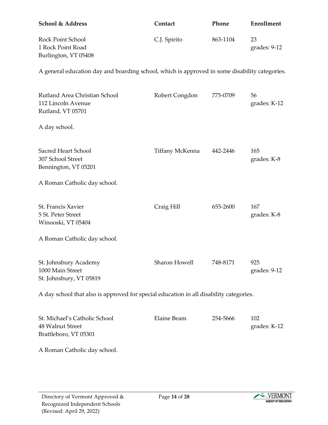| <b>School &amp; Address</b>            | Contact      | <b>Phone</b> | Enrollment           |
|----------------------------------------|--------------|--------------|----------------------|
| Rock Point School<br>1 Rock Point Road | C.J. Spirito | 863-1104     | 23<br>grades: $9-12$ |
| Burlington, VT 05408                   |              |              |                      |

A general education day and boarding school, which is approved in some disability categories.

| Rutland Area Christian School<br>112 Lincoln Avenue<br>Rutland, VT 05701               | Robert Congdon     | 775-0709 | 56<br>grades: K-12  |
|----------------------------------------------------------------------------------------|--------------------|----------|---------------------|
| A day school.                                                                          |                    |          |                     |
| Sacred Heart School<br>307 School Street<br>Bennington, VT 05201                       | Tiffany McKenna    | 442-2446 | 165<br>grades: K-8  |
| A Roman Catholic day school.                                                           |                    |          |                     |
| St. Francis Xavier<br>5 St. Peter Street<br>Winooski, VT 05404                         | Craig Hill         | 655-2600 | 167<br>grades: K-8  |
| A Roman Catholic day school.                                                           |                    |          |                     |
| St. Johnsbury Academy<br>1000 Main Street<br>St. Johnsbury, VT 05819                   | Sharon Howell      | 748-8171 | 925<br>grades: 9-12 |
| A day school that also is approved for special education in all disability categories. |                    |          |                     |
| St. Michael's Catholic School                                                          | <b>Elaine Beam</b> | 254-5666 | 102                 |

| St. Michael's Catholic School | Elaine Beam | 254-5666 |              |
|-------------------------------|-------------|----------|--------------|
| 48 Walnut Street              |             |          | grades: K-12 |
| Brattleboro, VT 05301         |             |          |              |

A Roman Catholic day school.

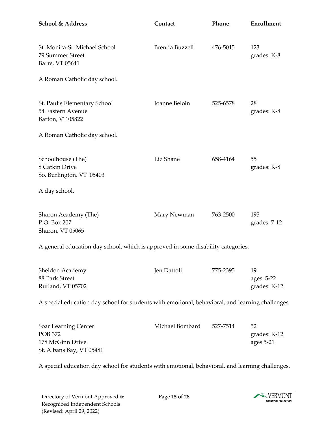| <b>School &amp; Address</b>                                                                      | Contact         | Phone    | <b>Enrollment</b>                |
|--------------------------------------------------------------------------------------------------|-----------------|----------|----------------------------------|
| St. Monica-St. Michael School<br>79 Summer Street<br>Barre, VT 05641                             | Brenda Buzzell  | 476-5015 | 123<br>grades: K-8               |
| A Roman Catholic day school.                                                                     |                 |          |                                  |
| St. Paul's Elementary School<br>54 Eastern Avenue<br>Barton, VT 05822                            | Joanne Beloin   | 525-6578 | 28<br>grades: K-8                |
| A Roman Catholic day school.                                                                     |                 |          |                                  |
| Schoolhouse (The)<br>8 Catkin Drive<br>So. Burlington, VT 05403                                  | Liz Shane       | 658-4164 | 55<br>grades: K-8                |
| A day school.                                                                                    |                 |          |                                  |
| Sharon Academy (The)<br>P.O. Box 207<br>Sharon, VT 05065                                         | Mary Newman     | 763-2500 | 195<br>grades: 7-12              |
| A general education day school, which is approved in some disability categories.                 |                 |          |                                  |
| Sheldon Academy<br>88 Park Street<br>Rutland, VT 05702                                           | Jen Dattoli     | 775-2395 | 19<br>ages: 5-22<br>grades: K-12 |
| A special education day school for students with emotional, behavioral, and learning challenges. |                 |          |                                  |
| Soar Learning Center<br><b>POB 372</b><br>178 McGinn Drive                                       | Michael Bombard | 527-7514 | 52<br>grades: K-12<br>ages 5-21  |

A special education day school for students with emotional, behavioral, and learning challenges.

St. Albans Bay, VT 05481

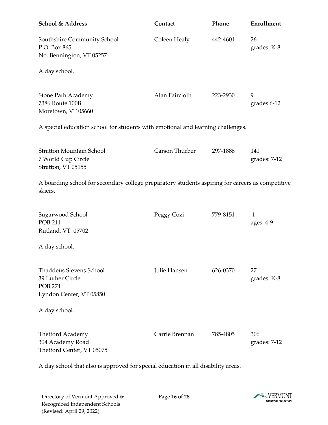| School & Address                                                                                            | Contact        | Phone    | Enrollment                |
|-------------------------------------------------------------------------------------------------------------|----------------|----------|---------------------------|
| Southshire Community School<br>P.O. Box 865<br>No. Bennington, VT 05257                                     | Coleen Healy   | 442-4601 | 26<br>grades: K-8         |
| A day school.                                                                                               |                |          |                           |
| <b>Stone Path Academy</b><br>7386 Route 100B<br>Moretown, VT 05660                                          | Alan Faircloth | 223-2930 | 9<br>grades 6-12          |
| A special education school for students with emotional and learning challenges.                             |                |          |                           |
| <b>Stratton Mountain School</b><br>7 World Cup Circle<br>Stratton, VT 05155                                 | Carson Thurber | 297-1886 | 141<br>grades: 7-12       |
| A boarding school for secondary college preparatory students aspiring for careers as competitive<br>skiers. |                |          |                           |
| Sugarwood School<br><b>POB 211</b><br>Rutland, VT 05702                                                     | Peggy Cozi     | 779-8151 | $\mathbf{1}$<br>ages: 4-9 |
| A day school.                                                                                               |                |          |                           |
| <b>Thaddeus Stevens School</b><br>39 Luther Circle<br><b>POB 274</b><br>Lyndon Center, VT 05850             | Julie Hansen   | 626-0370 | 27<br>grades: K-8         |
| A day school.                                                                                               |                |          |                           |
| Thetford Academy<br>304 Academy Road<br>Thetford Center, VT 05075                                           | Carrie Brennan | 785-4805 | 306<br>grades: 7-12       |

A day school that also is approved for special education in all disability areas.

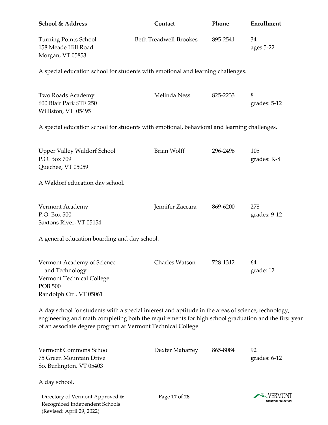| <b>School &amp; Address</b>                                                                                            | Contact                       | Phone    | <b>Enrollment</b>   |
|------------------------------------------------------------------------------------------------------------------------|-------------------------------|----------|---------------------|
| <b>Turning Points School</b><br>158 Meade Hill Road<br>Morgan, VT 05853                                                | <b>Beth Treadwell-Brookes</b> | 895-2541 | 34<br>ages $5-22$   |
| A special education school for students with emotional and learning challenges.                                        |                               |          |                     |
| Two Roads Academy<br>600 Blair Park STE 250<br>Williston, VT 05495                                                     | Melinda Ness                  | 825-2233 | 8<br>grades: 5-12   |
| A special education school for students with emotional, behavioral and learning challenges.                            |                               |          |                     |
| <b>Upper Valley Waldorf School</b><br>P.O. Box 709<br>Quechee, VT 05059                                                | Brian Wolff                   | 296-2496 | 105<br>grades: K-8  |
| A Waldorf education day school.                                                                                        |                               |          |                     |
| Vermont Academy<br>P.O. Box 500<br>Saxtons River, VT 05154                                                             | Jennifer Zaccara              | 869-6200 | 278<br>grades: 9-12 |
| A general education boarding and day school.                                                                           |                               |          |                     |
| Vermont Academy of Science<br>and Technology<br>Vermont Technical College<br><b>POB 500</b><br>Randolph Ctr., VT 05061 | Charles Watson                | 728-1312 | 64<br>grade: 12     |
| A day school for students with a special interest and aptitude in the areas of science, technology,                    |                               |          |                     |

engineering and math completing both the requirements for high school graduation and the first year of an associate degree program at Vermont Technical College.

| Vermont Commons School<br>75 Green Mountain Drive<br>So. Burlington, VT 05403 | Dexter Mahaffey | 865-8084 | 92<br>grades: $6-12$                  |
|-------------------------------------------------------------------------------|-----------------|----------|---------------------------------------|
| A day school.                                                                 |                 |          |                                       |
| Directory of Vermont Approved &<br>Recognized Indones dent Schools            | Page 17 of 28   |          | VERMONT<br><b>AGENCY OF EDUCATION</b> |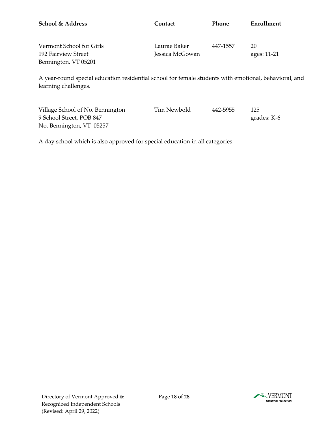| School & Address                                                                                                              | Contact                         | Phone    | Enrollment         |
|-------------------------------------------------------------------------------------------------------------------------------|---------------------------------|----------|--------------------|
| Vermont School for Girls<br>192 Fairview Street<br>Bennington, VT 05201                                                       | Laurae Baker<br>Jessica McGowan | 447-1557 | 20<br>ages: 11-21  |
| A year-round special education residential school for female students with emotional, behavioral, and<br>learning challenges. |                                 |          |                    |
| Village School of No. Bennington<br>9 School Street, POB 847                                                                  | <b>Tim Newbold</b>              | 442-5955 | 125<br>grades: K-6 |

A day school which is also approved for special education in all categories.

No. Bennington, VT 05257

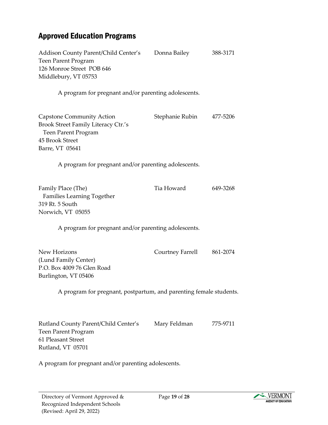# <span id="page-18-0"></span>Approved Education Programs

| Addison County Parent/Child Center's<br>Teen Parent Program<br>126 Monroe Street POB 646<br>Middlebury, VT 05753                     | Donna Bailey             | 388-3171 |
|--------------------------------------------------------------------------------------------------------------------------------------|--------------------------|----------|
| A program for pregnant and/or parenting adolescents.                                                                                 |                          |          |
| <b>Capstone Community Action</b><br>Brook Street Family Literacy Ctr.'s<br>Teen Parent Program<br>45 Brook Street<br>Barre, VT 05641 | Stephanie Rubin 477-5206 |          |
| A program for pregnant and/or parenting adolescents.                                                                                 |                          |          |
| Family Place (The)<br>Families Learning Together<br>319 Rt. 5 South<br>Norwich, VT 05055                                             | Tia Howard               | 649-3268 |
| A program for pregnant and/or parenting adolescents.                                                                                 |                          |          |
| New Horizons<br>(Lund Family Center)<br>P.O. Box 4009 76 Glen Road<br>Burlington, VT 05406                                           | Courtney Farrell         | 861-2074 |
| A program for pregnant, postpartum, and parenting female students.                                                                   |                          |          |
| Rutland County Parent/Child Center's<br><b>Teen Parent Program</b><br>61 Pleasant Street<br>Rutland, VT 05701                        | Mary Feldman             | 775-9711 |

A program for pregnant and/or parenting adolescents.

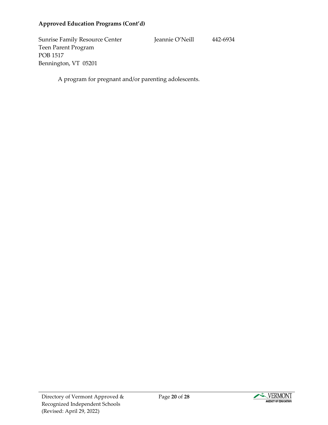#### **Approved Education Programs (Cont'd)**

Sunrise Family Resource Center Jeannie O'Neill 442-6934 Teen Parent Program POB 1517 Bennington, VT 05201

A program for pregnant and/or parenting adolescents.

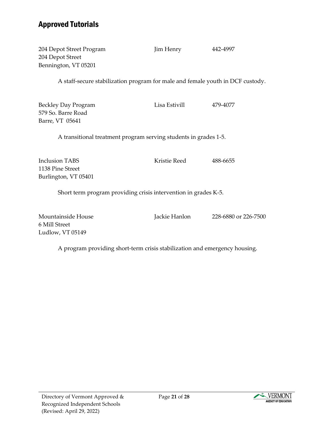## <span id="page-20-0"></span>Approved Tutorials

| 204 Depot Street Program<br>204 Depot Street<br>Bennington, VT 05201           | Jim Henry     | 442-4997 |
|--------------------------------------------------------------------------------|---------------|----------|
| A staff-secure stabilization program for male and female youth in DCF custody. |               |          |
| <b>Beckley Day Program</b><br>579 So. Barre Road<br>Barre, VT 05641            | Lisa Estivill | 479-4077 |
| A transitional treatment program serving students in grades 1-5.               |               |          |
| <b>Inclusion TABS</b><br>1138 Pine Street<br>Burlington, VT 05401              | Kristie Reed  | 488-6655 |
| Short term program providing crisis intervention in grades K-5.                |               |          |

Mountainside House Jackie Hanlon 228-6880 or 226-7500 6 Mill Street Ludlow, VT 05149

A program providing short-term crisis stabilization and emergency housing.

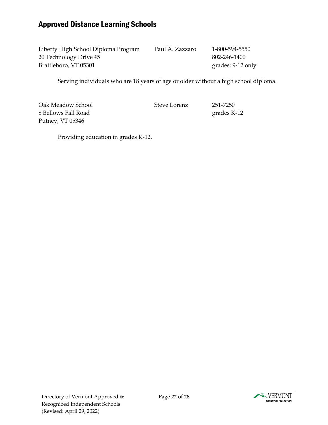## <span id="page-21-0"></span>Approved Distance Learning Schools

| Liberty High School Diploma Program | Paul A. Zazzaro | 1-800-594-5550    |
|-------------------------------------|-----------------|-------------------|
| 20 Technology Drive #5              |                 | 802-246-1400      |
| Brattleboro, VT 05301               |                 | grades: 9-12 only |

Serving individuals who are 18 years of age or older without a high school diploma.

Oak Meadow School Steve Lorenz 251-7250 8 Bellows Fall Road grades K-12 Putney, VT 05346

Providing education in grades K-12.

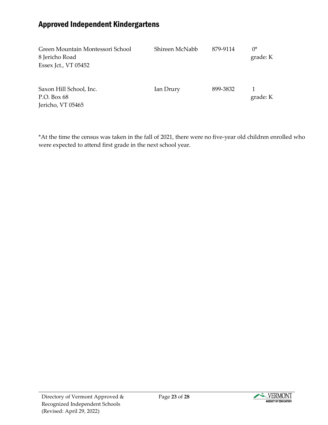## <span id="page-22-0"></span>Approved Independent Kindergartens

| Green Mountain Montessori School | Shireen McNabb | 879-9114 | $0^*$    |
|----------------------------------|----------------|----------|----------|
| 8 Jericho Road                   |                |          | grade: K |
| Essex Jct., VT 05452             |                |          |          |
|                                  |                |          |          |
|                                  |                |          |          |
| Saxon Hill School, Inc.          | Ian Drury      | 899-3832 |          |
| P.O. Box 68                      |                |          | grade: K |
| Jericho, VT 05465                |                |          |          |

\*At the time the census was taken in the fall of 2021, there were no five-year old children enrolled who were expected to attend first grade in the next school year.

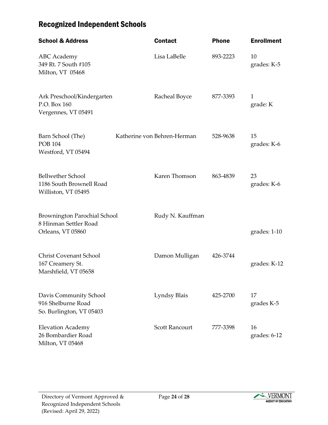# <span id="page-23-0"></span>Recognized Independent Schools

| <b>School &amp; Address</b>                                                 | <b>Contact</b>              | <b>Phone</b> | <b>Enrollment</b>        |
|-----------------------------------------------------------------------------|-----------------------------|--------------|--------------------------|
| <b>ABC</b> Academy<br>349 Rt. 7 South #105<br>Milton, VT 05468              | Lisa LaBelle                | 893-2223     | 10<br>grades: K-5        |
| Ark Preschool/Kindergarten<br>P.O. Box 160<br>Vergennes, VT 05491           | Racheal Boyce               | 877-3393     | $\mathbf{1}$<br>grade: K |
| Barn School (The)<br><b>POB 104</b><br>Westford, VT 05494                   | Katherine von Behren-Herman | 528-9638     | 15<br>grades: K-6        |
| <b>Bellwether School</b><br>1186 South Brownell Road<br>Williston, VT 05495 | Karen Thomson               | 863-4839     | 23<br>grades: K-6        |
| Brownington Parochial School<br>8 Hinman Settler Road<br>Orleans, VT 05860  | Rudy N. Kauffman            |              | grades: 1-10             |
| <b>Christ Covenant School</b><br>167 Creamery St.<br>Marshfield, VT 05658   | Damon Mulligan              | 426-3744     | grades: K-12             |
| Davis Community School<br>916 Shelburne Road<br>So. Burlington, VT 05403    | Lyndsy Blais                | 425-2700     | 17<br>grades K-5         |
| <b>Elevation Academy</b><br>26 Bombardier Road<br>Milton, VT 05468          | <b>Scott Rancourt</b>       | 777-3398     | 16<br>grades: 6-12       |

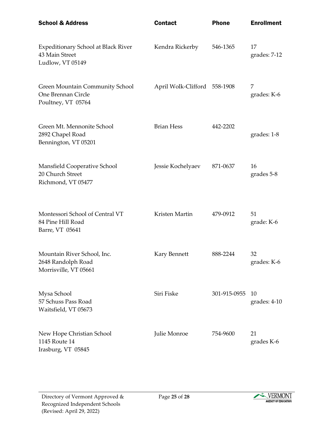| <b>School &amp; Address</b>                                                        | <b>Contact</b>               | <b>Phone</b> | <b>Enrollment</b>  |
|------------------------------------------------------------------------------------|------------------------------|--------------|--------------------|
| <b>Expeditionary School at Black River</b><br>43 Main Street<br>Ludlow, VT 05149   | Kendra Rickerby              | 546-1365     | 17<br>grades: 7-12 |
| <b>Green Mountain Community School</b><br>One Brennan Circle<br>Poultney, VT 05764 | April Wolk-Clifford 558-1908 |              | 7<br>grades: K-6   |
| Green Mt. Mennonite School<br>2892 Chapel Road<br>Bennington, VT 05201             | <b>Brian Hess</b>            | 442-2202     | grades: 1-8        |
| Mansfield Cooperative School<br>20 Church Street<br>Richmond, VT 05477             | Jessie Kochelyaev            | 871-0637     | 16<br>grades 5-8   |
| Montessori School of Central VT<br>84 Pine Hill Road<br>Barre, VT 05641            | Kristen Martin               | 479-0912     | 51<br>grade: K-6   |
| Mountain River School, Inc.<br>2648 Randolph Road<br>Morrisville, VT 05661         | Kary Bennett                 | 888-2244     | 32<br>grades: K-6  |
| Mysa School<br>57 Schuss Pass Road<br>Waitsfield, VT 05673                         | Siri Fiske                   | 301-915-0955 | 10<br>grades: 4-10 |
| New Hope Christian School<br>1145 Route 14<br>Irasburg, VT 05845                   | Julie Monroe                 | 754-9600     | 21<br>grades K-6   |

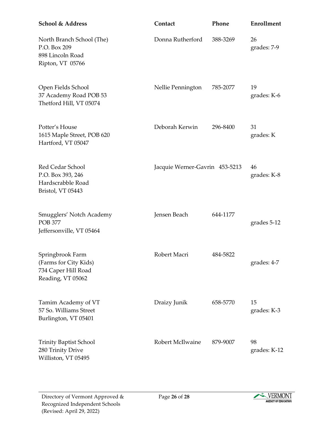| <b>School &amp; Address</b>                                                           | Contact                        | Phone    | Enrollment         |
|---------------------------------------------------------------------------------------|--------------------------------|----------|--------------------|
| North Branch School (The)<br>P.O. Box 209<br>898 Lincoln Road<br>Ripton, VT 05766     | Donna Rutherford               | 388-3269 | 26<br>grades: 7-9  |
| Open Fields School<br>37 Academy Road POB 53<br>Thetford Hill, VT 05074               | Nellie Pennington              | 785-2077 | 19<br>grades: K-6  |
| Potter's House<br>1615 Maple Street, POB 620<br>Hartford, VT 05047                    | Deborah Kerwin                 | 296-8400 | 31<br>grades: K    |
| Red Cedar School<br>P.O. Box 393, 246<br>Hardscrabble Road<br>Bristol, VT 05443       | Jacquie Werner-Gavrin 453-5213 |          | 46<br>grades: K-8  |
| Smugglers' Notch Academy<br><b>POB 377</b><br>Jeffersonville, VT 05464                | Jensen Beach                   | 644-1177 | grades 5-12        |
| Springbrook Farm<br>(Farms for City Kids)<br>734 Caper Hill Road<br>Reading, VT 05062 | Robert Macri                   | 484-5822 | grades: 4-7        |
| Tamim Academy of VT<br>57 So. Williams Street<br>Burlington, VT 05401                 | Draizy Junik                   | 658-5770 | 15<br>grades: K-3  |
| <b>Trinity Baptist School</b><br>280 Trinity Drive<br>Williston, VT 05495             | Robert McIlwaine               | 879-9007 | 98<br>grades: K-12 |

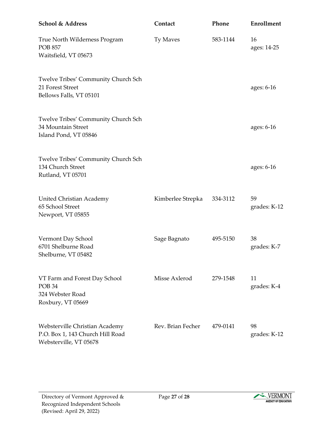| <b>School &amp; Address</b>                                                                  | Contact           | Phone    | <b>Enrollment</b>  |
|----------------------------------------------------------------------------------------------|-------------------|----------|--------------------|
| True North Wilderness Program<br><b>POB 857</b><br>Waitsfield, VT 05673                      | Ty Maves          | 583-1144 | 16<br>ages: 14-25  |
| Twelve Tribes' Community Church Sch<br>21 Forest Street<br>Bellows Falls, VT 05101           |                   |          | ages: 6-16         |
| Twelve Tribes' Community Church Sch<br>34 Mountain Street<br>Island Pond, VT 05846           |                   |          | ages: 6-16         |
| Twelve Tribes' Community Church Sch<br>134 Church Street<br>Rutland, VT 05701                |                   |          | ages: 6-16         |
| United Christian Academy<br>65 School Street<br>Newport, VT 05855                            | Kimberlee Strepka | 334-3112 | 59<br>grades: K-12 |
| Vermont Day School<br>6701 Shelburne Road<br>Shelburne, VT 05482                             | Sage Bagnato      | 495-5150 | 38<br>grades: K-7  |
| VT Farm and Forest Day School<br>POB <sub>34</sub><br>324 Webster Road<br>Roxbury, VT 05669  | Misse Axlerod     | 279-1548 | 11<br>grades: K-4  |
| Websterville Christian Academy<br>P.O. Box 1, 143 Church Hill Road<br>Websterville, VT 05678 | Rev. Brian Fecher | 479-0141 | 98<br>grades: K-12 |